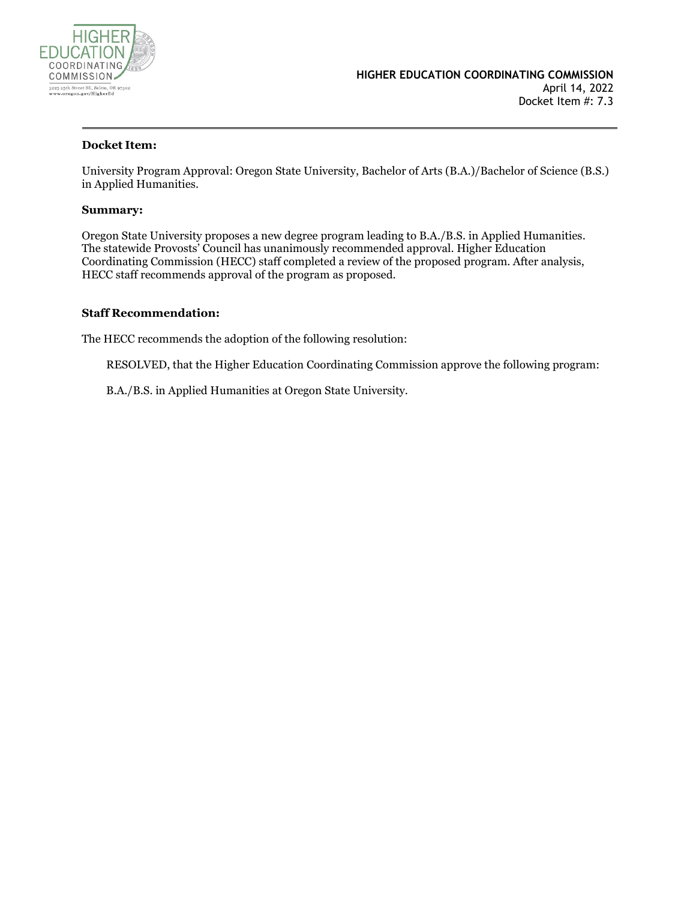

#### **Docket Item:**

University Program Approval: Oregon State University, Bachelor of Arts (B.A.)/Bachelor of Science (B.S.) in Applied Humanities.

#### **Summary:**

Oregon State University proposes a new degree program leading to B.A./B.S. in Applied Humanities. The statewide Provosts' Council has unanimously recommended approval. Higher Education Coordinating Commission (HECC) staff completed a review of the proposed program. After analysis, HECC staff recommends approval of the program as proposed.

#### **Staff Recommendation:**

The HECC recommends the adoption of the following resolution:

RESOLVED, that the Higher Education Coordinating Commission approve the following program:

B.A./B.S. in Applied Humanities at Oregon State University.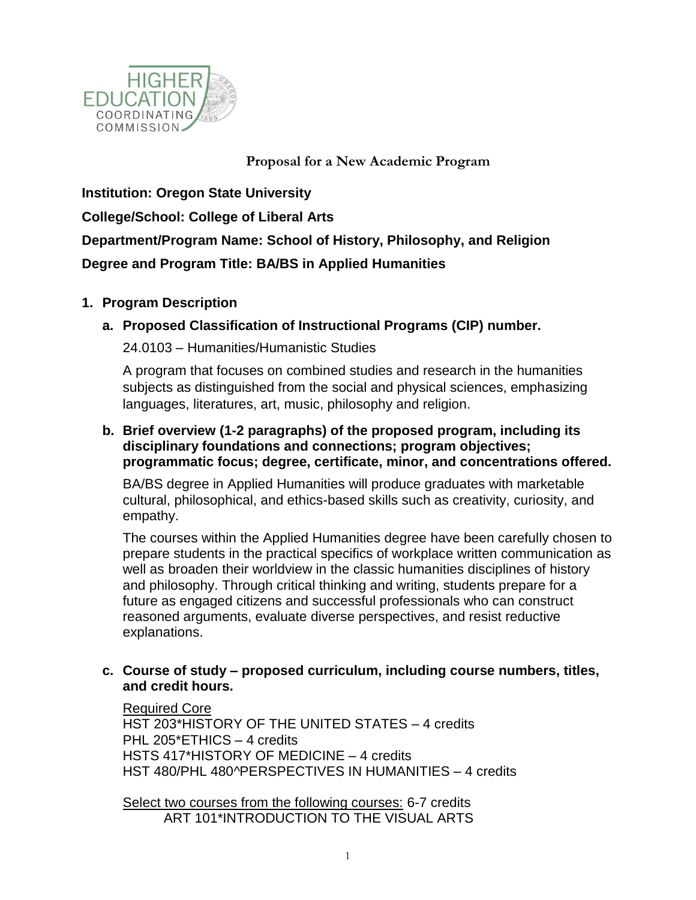

# **Proposal for a New Academic Program**

**Institution: Oregon State University College/School: College of Liberal Arts Department/Program Name: School of History, Philosophy, and Religion Degree and Program Title: BA/BS in Applied Humanities**

# **1. Program Description**

**a. Proposed Classification of Instructional Programs (CIP) number.**

24.0103 – Humanities/Humanistic Studies

A program that focuses on combined studies and research in the humanities subjects as distinguished from the social and physical sciences, emphasizing languages, literatures, art, music, philosophy and religion.

# **b. Brief overview (1-2 paragraphs) of the proposed program, including its disciplinary foundations and connections; program objectives; programmatic focus; degree, certificate, minor, and concentrations offered.**

BA/BS degree in Applied Humanities will produce graduates with marketable cultural, philosophical, and ethics-based skills such as creativity, curiosity, and empathy.

The courses within the Applied Humanities degree have been carefully chosen to prepare students in the practical specifics of workplace written communication as well as broaden their worldview in the classic humanities disciplines of history and philosophy. Through critical thinking and writing, students prepare for a future as engaged citizens and successful professionals who can construct reasoned arguments, evaluate diverse perspectives, and resist reductive explanations.

# **c. Course of study – proposed curriculum, including course numbers, titles, and credit hours.**

Required Core

[HST](https://nextcatalog.oregonstate.edu/search/?P=HST%20203) 203\*HISTORY OF THE UNITED STATES – 4 credits [PHL](https://nextcatalog.oregonstate.edu/search/?P=PHL%20205) 205\*ETHICS – 4 credits [HSTS](https://nextcatalog.oregonstate.edu/search/?P=HSTS%20417) 417\*HISTORY OF MEDICINE – 4 credits [HST 480/PHL 480^](https://nextcatalog.oregonstate.edu/search/?P=HST%20480)PERSPECTIVES IN HUMANITIES – 4 credits

Select two courses from the following courses: 6-7 credits [ART](https://nextcatalog.oregonstate.edu/search/?P=ART%20101) 101\*INTRODUCTION TO THE VISUAL ARTS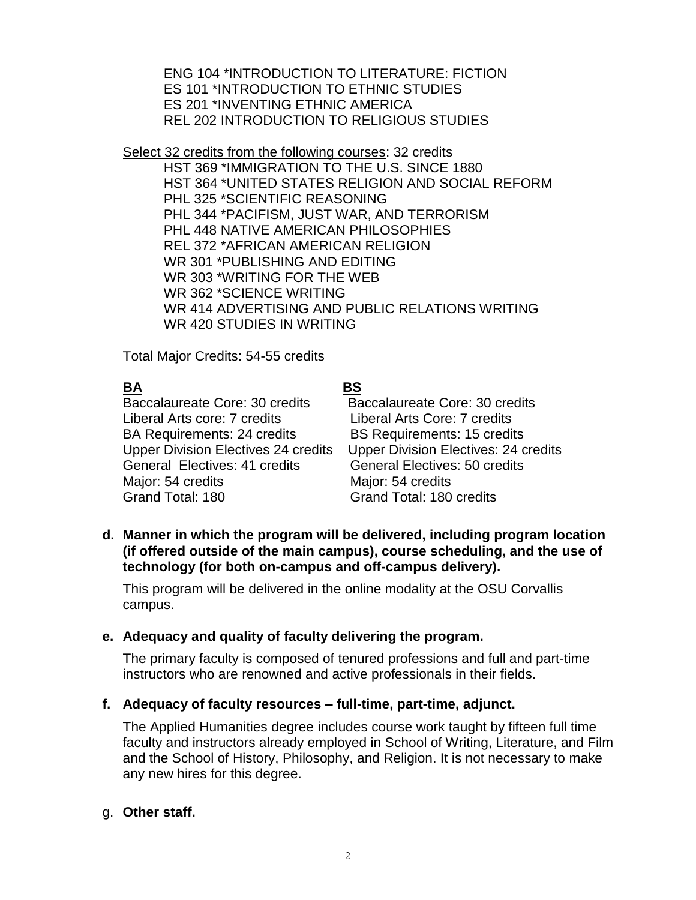[ENG](https://nextcatalog.oregonstate.edu/search/?P=ENG%20104) 104 \*INTRODUCTION TO LITERATURE: FICTION ES [101](https://nextcatalog.oregonstate.edu/search/?P=ES%20101) \*INTRODUCTION TO ETHNIC STUDIES ES [201](https://nextcatalog.oregonstate.edu/search/?P=ES%20201) \*INVENTING ETHNIC AMERICA [REL](https://nextcatalog.oregonstate.edu/search/?P=REL%20202) 202 INTRODUCTION TO RELIGIOUS STUDIES

Select 32 credits from the following courses: 32 credits [HST](https://nextcatalog.oregonstate.edu/search/?P=HST%20369) 369 \*IMMIGRATION TO THE U.S. SINCE 1880 [HST](https://nextcatalog.oregonstate.edu/search/?P=HST%20364) 364 \*UNITED STATES RELIGION AND SOCIAL REFORM [PHL](https://nextcatalog.oregonstate.edu/search/?P=PHL%20325) 325 \*SCIENTIFIC REASONING [PHL](https://nextcatalog.oregonstate.edu/search/?P=PHL%20344) 344 \*PACIFISM, JUST WAR, AND TERRORISM [PHL](https://nextcatalog.oregonstate.edu/search/?P=PHL%20448) 448 NATIVE AMERICAN PHILOSOPHIES [REL](https://nextcatalog.oregonstate.edu/search/?P=REL%20372) 372 \*AFRICAN AMERICAN RELIGION [WR](https://nextcatalog.oregonstate.edu/search/?P=WR%20301) 301 \*PUBLISHING AND EDITING [WR](https://nextcatalog.oregonstate.edu/search/?P=WR%20303) 303 \*WRITING FOR THE WEB [WR](https://nextcatalog.oregonstate.edu/search/?P=WR%20362) 362 \*SCIENCE WRITING [WR](https://nextcatalog.oregonstate.edu/search/?P=WR%20414) 414 ADVERTISING AND PUBLIC RELATIONS WRITING [WR](https://nextcatalog.oregonstate.edu/search/?P=WR%20420) 420 STUDIES IN WRITING

Total Major Credits: 54-55 credits

# **BA BS**

Baccalaureate Core: 30 credits Baccalaureate Core: 30 credits Liberal Arts core: 7 credits Liberal Arts Core: 7 credits BA Requirements: 24 credits BS Requirements: 15 credits General Electives: 41 credits General Electives: 50 credits Major: 54 credits Major: 54 credits Grand Total: 180 Grand Total: 180 credits

Upper Division Electives 24 credits Upper Division Electives: 24 credits

**d. Manner in which the program will be delivered, including program location (if offered outside of the main campus), course scheduling, and the use of technology (for both on-campus and off-campus delivery).**

This program will be delivered in the online modality at the OSU Corvallis campus.

#### **e. Adequacy and quality of faculty delivering the program.**

The primary faculty is composed of tenured professions and full and part-time instructors who are renowned and active professionals in their fields.

#### **f. Adequacy of faculty resources – full-time, part-time, adjunct.**

The Applied Humanities degree includes course work taught by fifteen full time faculty and instructors already employed in School of Writing, Literature, and Film and the School of History, Philosophy, and Religion. It is not necessary to make any new hires for this degree.

#### g. **Other staff.**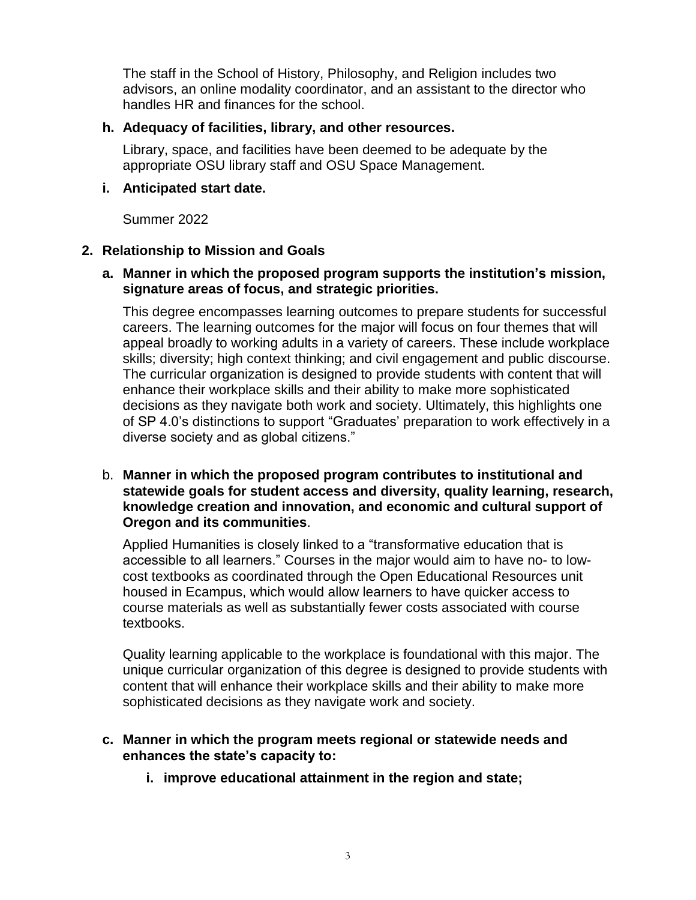The staff in the School of History, Philosophy, and Religion includes two advisors, an online modality coordinator, and an assistant to the director who handles HR and finances for the school.

#### **h. Adequacy of facilities, library, and other resources.**

Library, space, and facilities have been deemed to be adequate by the appropriate OSU library staff and OSU Space Management.

#### **i. Anticipated start date.**

Summer 2022

# **2. Relationship to Mission and Goals**

# **a. Manner in which the proposed program supports the institution's mission, signature areas of focus, and strategic priorities.**

This degree encompasses learning outcomes to prepare students for successful careers. The learning outcomes for the major will focus on four themes that will appeal broadly to working adults in a variety of careers. These include workplace skills; diversity; high context thinking; and civil engagement and public discourse. The curricular organization is designed to provide students with content that will enhance their workplace skills and their ability to make more sophisticated decisions as they navigate both work and society. Ultimately, this highlights one of SP 4.0's distinctions to support "Graduates' preparation to work effectively in a diverse society and as global citizens."

#### b. **Manner in which the proposed program contributes to institutional and statewide goals for student access and diversity, quality learning, research, knowledge creation and innovation, and economic and cultural support of Oregon and its communities**.

Applied Humanities is closely linked to a "transformative education that is accessible to all learners." Courses in the major would aim to have no- to lowcost textbooks as coordinated through the Open Educational Resources unit housed in Ecampus, which would allow learners to have quicker access to course materials as well as substantially fewer costs associated with course textbooks.

Quality learning applicable to the workplace is foundational with this major. The unique curricular organization of this degree is designed to provide students with content that will enhance their workplace skills and their ability to make more sophisticated decisions as they navigate work and society.

#### **c. Manner in which the program meets regional or statewide needs and enhances the state's capacity to:**

**i. improve educational attainment in the region and state;**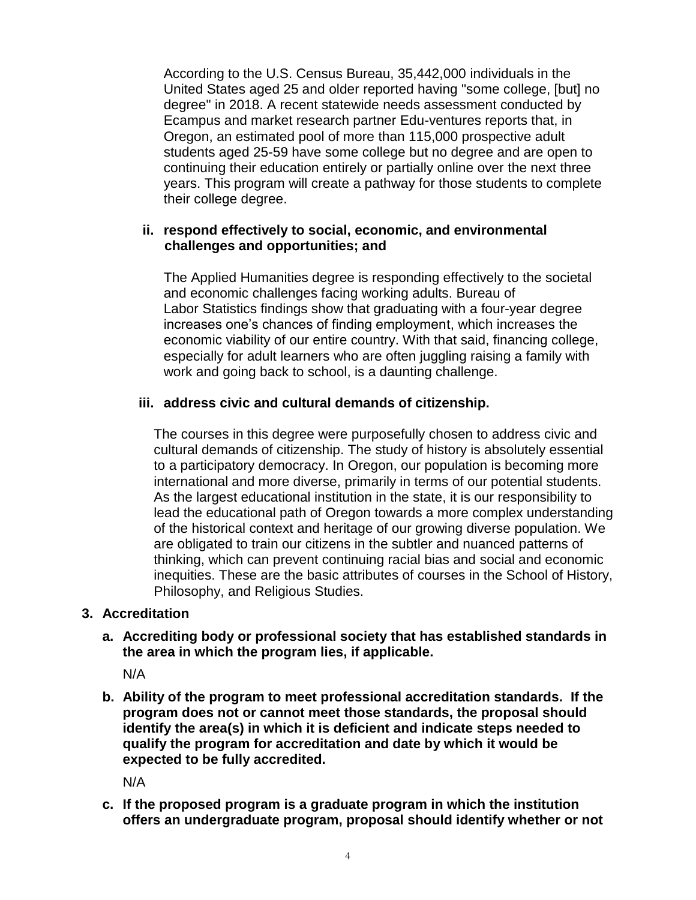According to the U.S. Census Bureau, 35,442,000 individuals in the United States aged 25 and older reported having "some college, [but] no degree" in 2018. A recent statewide needs assessment conducted by Ecampus and market research partner Edu-ventures reports that, in Oregon, an estimated pool of more than 115,000 prospective adult students aged 25-59 have some college but no degree and are open to continuing their education entirely or partially online over the next three years. This program will create a pathway for those students to complete their college degree.

#### **ii. respond effectively to social, economic, and environmental challenges and opportunities; and**

The Applied Humanities degree is responding effectively to the societal and economic challenges facing working adults. Bureau of Labor Statistics findings show that graduating with a four-year degree increases one's chances of finding employment, which increases the economic viability of our entire country. With that said, financing college, especially for adult learners who are often juggling raising a family with work and going back to school, is a daunting challenge.

# **iii. address civic and cultural demands of citizenship.**

The courses in this degree were purposefully chosen to address civic and cultural demands of citizenship. The study of history is absolutely essential to a participatory democracy. In Oregon, our population is becoming more international and more diverse, primarily in terms of our potential students. As the largest educational institution in the state, it is our responsibility to lead the educational path of Oregon towards a more complex understanding of the historical context and heritage of our growing diverse population. We are obligated to train our citizens in the subtler and nuanced patterns of thinking, which can prevent continuing racial bias and social and economic inequities. These are the basic attributes of courses in the School of History, Philosophy, and Religious Studies.

#### **3. Accreditation**

**a. Accrediting body or professional society that has established standards in the area in which the program lies, if applicable.**

N/A

**b. Ability of the program to meet professional accreditation standards. If the program does not or cannot meet those standards, the proposal should identify the area(s) in which it is deficient and indicate steps needed to qualify the program for accreditation and date by which it would be expected to be fully accredited.**

N/A

**c. If the proposed program is a graduate program in which the institution offers an undergraduate program, proposal should identify whether or not**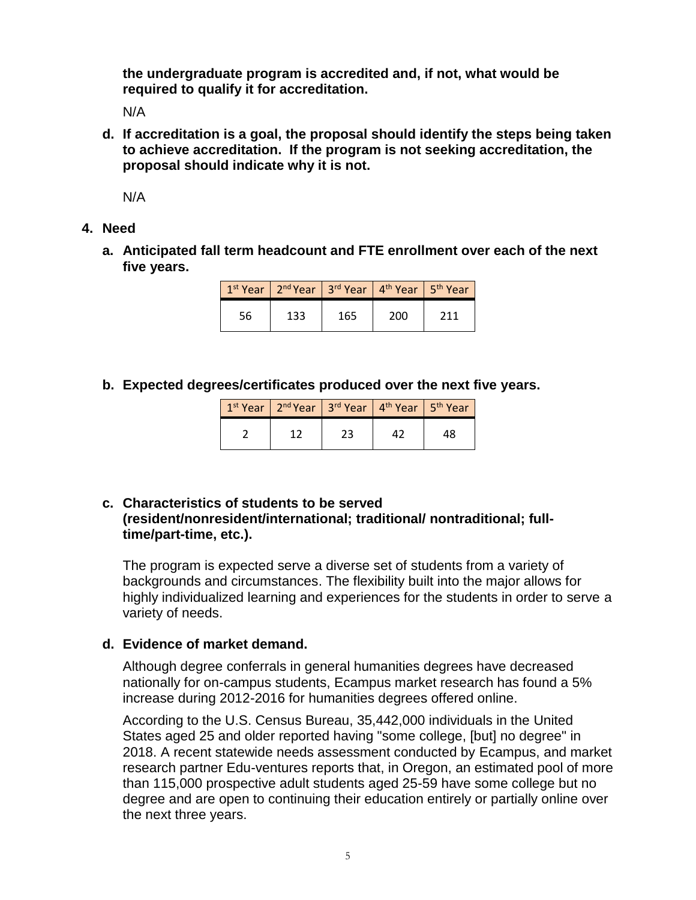**the undergraduate program is accredited and, if not, what would be required to qualify it for accreditation.**

N/A

**d. If accreditation is a goal, the proposal should identify the steps being taken to achieve accreditation. If the program is not seeking accreditation, the proposal should indicate why it is not.**

N/A

- **4. Need**
	- **a. Anticipated fall term headcount and FTE enrollment over each of the next five years.**

|    | $1st$ Year   2 <sup>nd</sup> Year   3 <sup>rd</sup> Year   4 <sup>th</sup> Year   5 <sup>th</sup> Year |     |     |     |
|----|--------------------------------------------------------------------------------------------------------|-----|-----|-----|
| 56 | 133                                                                                                    | 165 | 200 | 211 |

**b. Expected degrees/certificates produced over the next five years.**

| $1st$ Year   2 <sup>nd</sup> Year   3 <sup>rd</sup> Year   4 <sup>th</sup> Year   5 <sup>th</sup> Year |  |  |
|--------------------------------------------------------------------------------------------------------|--|--|
|                                                                                                        |  |  |

#### **c. Characteristics of students to be served (resident/nonresident/international; traditional/ nontraditional; fulltime/part-time, etc.).**

The program is expected serve a diverse set of students from a variety of backgrounds and circumstances. The flexibility built into the major allows for highly individualized learning and experiences for the students in order to serve a variety of needs.

#### **d. Evidence of market demand.**

Although degree conferrals in general humanities degrees have decreased nationally for on-campus students, Ecampus market research has found a 5% increase during 2012-2016 for humanities degrees offered online.

According to the U.S. Census Bureau, 35,442,000 individuals in the United States aged 25 and older reported having "some college, [but] no degree" in 2018. A recent statewide needs assessment conducted by Ecampus, and market research partner Edu-ventures reports that, in Oregon, an estimated pool of more than 115,000 prospective adult students aged 25-59 have some college but no degree and are open to continuing their education entirely or partially online over the next three years.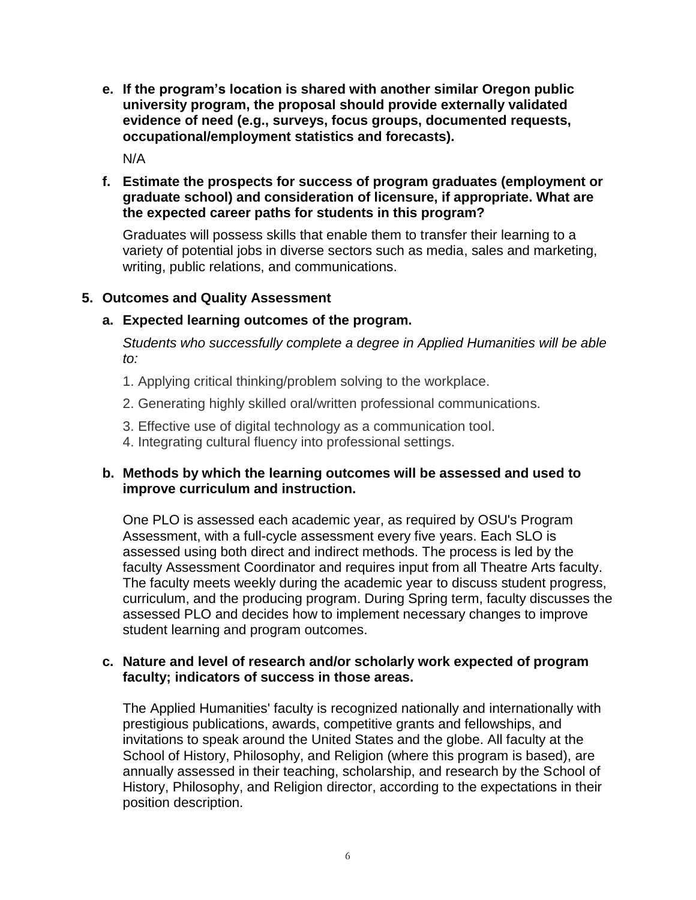**e. If the program's location is shared with another similar Oregon public university program, the proposal should provide externally validated evidence of need (e.g., surveys, focus groups, documented requests, occupational/employment statistics and forecasts).**

N/A

# **f. Estimate the prospects for success of program graduates (employment or graduate school) and consideration of licensure, if appropriate. What are the expected career paths for students in this program?**

Graduates will possess skills that enable them to transfer their learning to a variety of potential jobs in diverse sectors such as media, sales and marketing, writing, public relations, and communications.

# **5. Outcomes and Quality Assessment**

# **a. Expected learning outcomes of the program.**

*Students who successfully complete a degree in Applied Humanities will be able to:*

- 1. Applying critical thinking/problem solving to the workplace.
- 2. Generating highly skilled oral/written professional communications.
- 3. Effective use of digital technology as a communication tool.
- 4. Integrating cultural fluency into professional settings.

# **b. Methods by which the learning outcomes will be assessed and used to improve curriculum and instruction.**

One PLO is assessed each academic year, as required by OSU's Program Assessment, with a full-cycle assessment every five years. Each SLO is assessed using both direct and indirect methods. The process is led by the faculty Assessment Coordinator and requires input from all Theatre Arts faculty. The faculty meets weekly during the academic year to discuss student progress, curriculum, and the producing program. During Spring term, faculty discusses the assessed PLO and decides how to implement necessary changes to improve student learning and program outcomes.

#### **c. Nature and level of research and/or scholarly work expected of program faculty; indicators of success in those areas.**

The Applied Humanities' faculty is recognized nationally and internationally with prestigious publications, awards, competitive grants and fellowships, and invitations to speak around the United States and the globe. All faculty at the School of History, Philosophy, and Religion (where this program is based), are annually assessed in their teaching, scholarship, and research by the School of History, Philosophy, and Religion director, according to the expectations in their position description.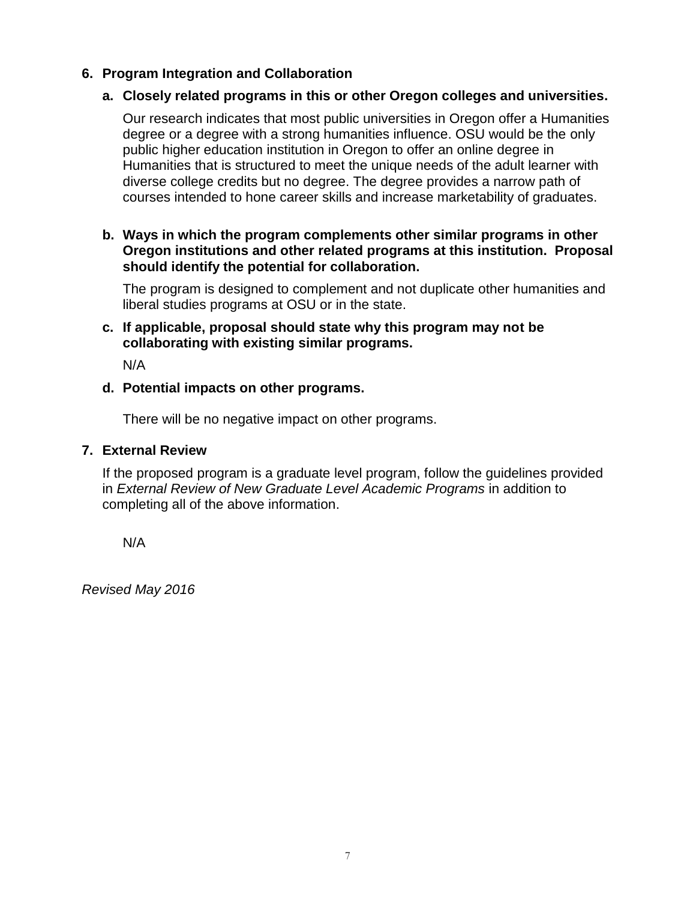# **6. Program Integration and Collaboration**

### **a. Closely related programs in this or other Oregon colleges and universities.**

Our research indicates that most public universities in Oregon offer a Humanities degree or a degree with a strong humanities influence. OSU would be the only public higher education institution in Oregon to offer an online degree in Humanities that is structured to meet the unique needs of the adult learner with diverse college credits but no degree. The degree provides a narrow path of courses intended to hone career skills and increase marketability of graduates.

#### **b. Ways in which the program complements other similar programs in other Oregon institutions and other related programs at this institution. Proposal should identify the potential for collaboration.**

The program is designed to complement and not duplicate other humanities and liberal studies programs at OSU or in the state.

#### **c. If applicable, proposal should state why this program may not be collaborating with existing similar programs.**

N/A

#### **d. Potential impacts on other programs.**

There will be no negative impact on other programs.

#### **7. External Review**

If the proposed program is a graduate level program, follow the guidelines provided in *External Review of New Graduate Level Academic Programs* in addition to completing all of the above information.

N/A

*Revised May 2016*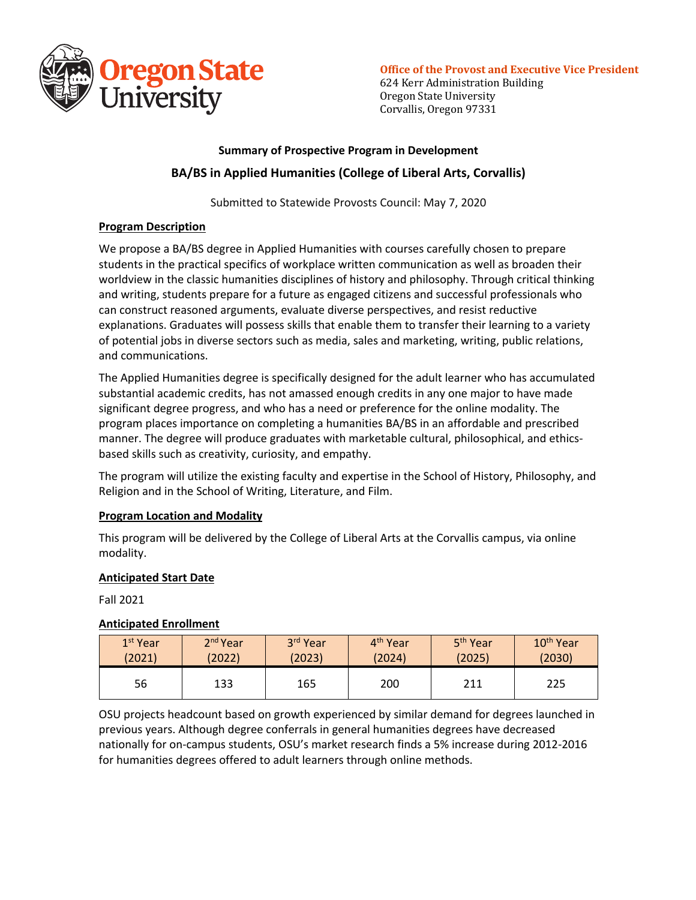

**Office of the Provost and Executive Vice President** 

624 Kerr Administration Building Oregon State University Corvallis, Oregon 97331

# **Summary of Prospective Program in Development BA/BS in Applied Humanities (College of Liberal Arts, Corvallis)**

Submitted to Statewide Provosts Council: May 7, 2020

#### **Program Description**

We propose a BA/BS degree in Applied Humanities with courses carefully chosen to prepare students in the practical specifics of workplace written communication as well as broaden their worldview in the classic humanities disciplines of history and philosophy. Through critical thinking and writing, students prepare for a future as engaged citizens and successful professionals who can construct reasoned arguments, evaluate diverse perspectives, and resist reductive explanations. Graduates will possess skills that enable them to transfer their learning to a variety of potential jobs in diverse sectors such as media, sales and marketing, writing, public relations, and communications.

The Applied Humanities degree is specifically designed for the adult learner who has accumulated substantial academic credits, has not amassed enough credits in any one major to have made significant degree progress, and who has a need or preference for the online modality. The program places importance on completing a humanities BA/BS in an affordable and prescribed manner. The degree will produce graduates with marketable cultural, philosophical, and ethicsbased skills such as creativity, curiosity, and empathy.

The program will utilize the existing faculty and expertise in the School of History, Philosophy, and Religion and in the School of Writing, Literature, and Film.

#### **Program Location and Modality**

This program will be delivered by the College of Liberal Arts at the Corvallis campus, via online modality.

#### **Anticipated Start Date**

Fall 2021

#### **Anticipated Enrollment**

| 1 <sup>st</sup> Year | $2nd$ Year | 3rd Year | 4 <sup>th</sup> Year | 5 <sup>th</sup> Year | 10 <sup>th</sup> Year |
|----------------------|------------|----------|----------------------|----------------------|-----------------------|
| (2021)               | (2022)     | (2023)   | (2024)               | (2025)               | (2030)                |
| 56                   | 133        | 165      | 200                  | 211                  | 225                   |

OSU projects headcount based on growth experienced by similar demand for degrees launched in previous years. Although degree conferrals in general humanities degrees have decreased nationally for on-campus students, OSU's market research finds a 5% increase during 2012-2016 for humanities degrees offered to adult learners through online methods.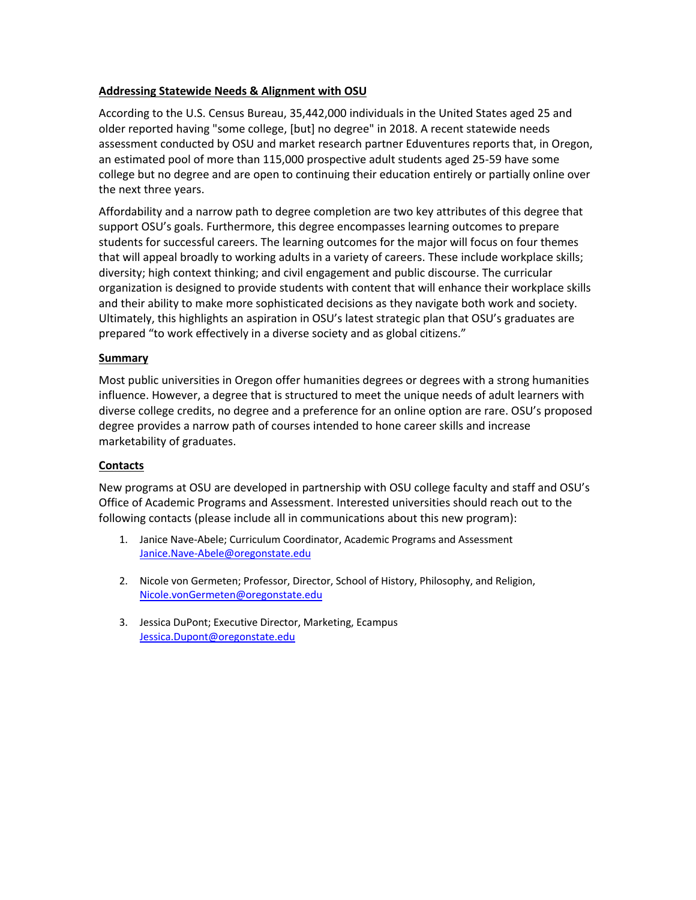#### **Addressing Statewide Needs & Alignment with OSU**

According to the U.S. Census Bureau, 35,442,000 individuals in the United States aged 25 and older reported having "some college, [but] no degree" in 2018. A recent statewide needs assessment conducted by OSU and market research partner Eduventures reports that, in Oregon, an estimated pool of more than 115,000 prospective adult students aged 25-59 have some college but no degree and are open to continuing their education entirely or partially online over the next three years.

Affordability and a narrow path to degree completion are two key attributes of this degree that support OSU's goals. Furthermore, this degree encompasses learning outcomes to prepare students for successful careers. The learning outcomes for the major will focus on four themes that will appeal broadly to working adults in a variety of careers. These include workplace skills; diversity; high context thinking; and civil engagement and public discourse. The curricular organization is designed to provide students with content that will enhance their workplace skills and their ability to make more sophisticated decisions as they navigate both work and society. Ultimately, this highlights an aspiration in OSU's latest strategic plan that OSU's graduates are prepared "to work effectively in a diverse society and as global citizens."

#### **Summary**

Most public universities in Oregon offer humanities degrees or degrees with a strong humanities influence. However, a degree that is structured to meet the unique needs of adult learners with diverse college credits, no degree and a preference for an online option are rare. OSU's proposed degree provides a narrow path of courses intended to hone career skills and increase marketability of graduates.

#### **Contacts**

New programs at OSU are developed in partnership with OSU college faculty and staff and OSU's Office of Academic Programs and Assessment. Interested universities should reach out to the following contacts (please include all in communications about this new program):

- 1. Janice Nave-Abele; Curriculum Coordinator, Academic Programs and Assessment Janice.Nave-Abele@oregonstate.edu
- 2. Nicole von Germeten; Professor, Director, School of History, Philosophy, and Religion, Nicole.vonGermeten@oregonstate.edu
- 3. Jessica DuPont; Executive Director, Marketing, Ecampus Jessica.Dupont@oregonstate.edu